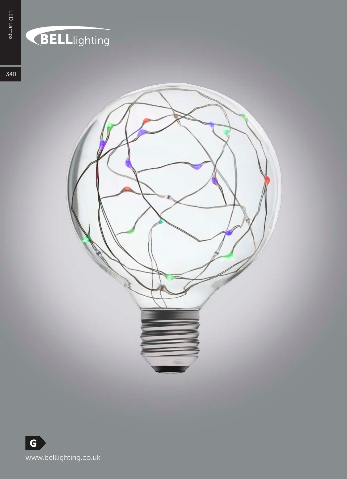## **BELL**lighting